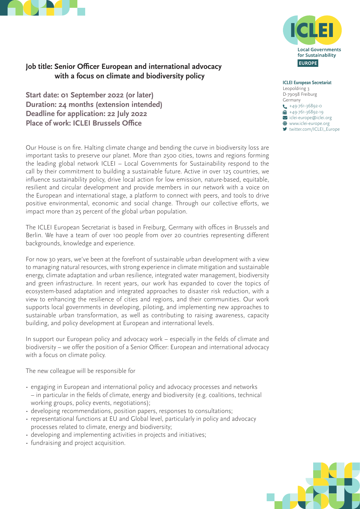



# **Job title: Senior Officer European and international advocacy with a focus on climate and biodiversity policy**

**Start date: 01 September 2022 (or later) Duration: 24 months (extension intended) Deadline for application: 22 July 2022 Place of work: ICLEI Brussels Office**

Our House is on fire. Halting climate change and bending the curve in biodiversity loss are important tasks to preserve our planet. More than 2500 cities, towns and regions forming the leading global network ICLEI – Local Governments for Sustainability respond to the call by their commitment to building a sustainable future. Active in over 125 countries, we influence sustainability policy, drive local action for low emission, nature-based, equitable, resilient and circular development and provide members in our network with a voice on the European and international stage, a platform to connect with peers, and tools to drive positive environmental, economic and social change. Through our collective efforts, we impact more than 25 percent of the global urban population.

The ICLEI European Secretariat is based in Freiburg, Germany with offices in Brussels and Berlin. We have a team of over 100 people from over 20 countries representing different backgrounds, knowledge and experience.

For now 30 years, we've been at the forefront of sustainable urban development with a view to managing natural resources, with strong experience in climate mitigation and sustainable energy, climate adaptation and urban resilience, integrated water management, biodiversity and green infrastructure. In recent years, our work has expanded to cover the topics of ecosystem-based adaptation and integrated approaches to disaster risk reduction, with a view to enhancing the resilience of cities and regions, and their communities. Our work supports local governments in developing, piloting, and implementing new approaches to sustainable urban transformation, as well as contributing to raising awareness, capacity building, and policy development at European and international levels.

In support our European policy and advocacy work – especially in the fields of climate and biodiversity – we offer the position of a Senior Officer: European and international advocacy with a focus on climate policy.

The new colleague will be responsible for

- engaging in European and international policy and advocacy processes and networks – in particular in the fields of climate, energy and biodiversity (e.g. coalitions, technical working groups, policy events, negotiations);
- developing recommendations, position papers, responses to consultations;
- representational functions at EU and Global level, particularly in policy and advocacy processes related to climate, energy and biodiversity;
- developing and implementing activities in projects and initiatives;
- fundraising and project acquisition.



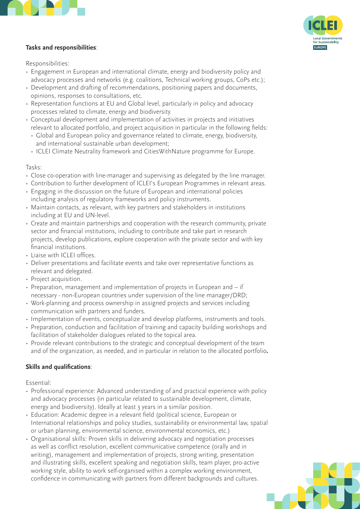

# **Tasks and responsibilities**:



Responsibilities:

- Engagement in European and international climate, energy and biodiversity policy and advocacy processes and networks (e.g. coalitions, Technical working groups, CoPs etc.);
- Development and drafting of recommendations, positioning papers and documents, opinions, responses to consultations, etc.
- Representation functions at EU and Global level, particularly in policy and advocacy processes related to climate, energy and biodiversity.
- Conceptual development and implementation of activities in projects and initiatives relevant to allocated portfolio, and project acquisition in particular in the following fields:
- Global and European policy and governance related to climate, energy, biodiversity, and international sustainable urban development;
- ICLEI Climate Neutrality framework and CitiesWithNature programme for Europe.

#### Tasks:

- Close co-operation with line-manager and supervising as delegated by the line manager.
- Contribution to further development of ICLEI's European Programmes in relevant areas.
- Engaging in the discussion on the future of European and international policies including analysis of regulatory frameworks and policy instruments.
- Maintain contacts, as relevant, with key partners and stakeholders in institutions including at EU and UN-level.
- Create and maintain partnerships and cooperation with the research community, private sector and financial institutions, including to contribute and take part in research projects, develop publications, explore cooperation with the private sector and with key financial institutions.
- Liaise with ICLEI offices.
- Deliver presentations and facilitate events and take over representative functions as relevant and delegated.
- Project acquisition.
- Preparation, management and implementation of projects in European and if necessary - non-European countries under supervision of the line manager/DRD;
- Work-planning and process ownership in assigned projects and services including communication with partners and funders.
- Implementation of events, conceptualize and develop platforms, instruments and tools.
- Preparation, conduction and facilitation of training and capacity building workshops and facilitation of stakeholder dialogues related to the topical area.
- Provide relevant contributions to the strategic and conceptual development of the team and of the organization, as needed, and in particular in relation to the allocated portfolio**.**

## **Skills and qualifications**:

Essential:

- Professional experience: Advanced understanding of and practical experience with policy and advocacy processes (in particular related to sustainable development, climate, energy and biodiversity). Ideally at least 3 years in a similar position.
- Education: Academic degree in a relevant field (political science, European or International relationships and policy studies, sustainability or environmental law, spatial or urban planning, environmental science, environmental economics, etc.)
- Organisational skills: Proven skills in delivering advocacy and negotiation processes as well as conflict resolution, excellent communicative competence (orally and in writing), management and implementation of projects, strong writing, presentation and illustrating skills, excellent speaking and negotiation skills, team player, pro-active working style, ability to work self-organised within a complex working environment, confidence in communicating with partners from different backgrounds and cultures.